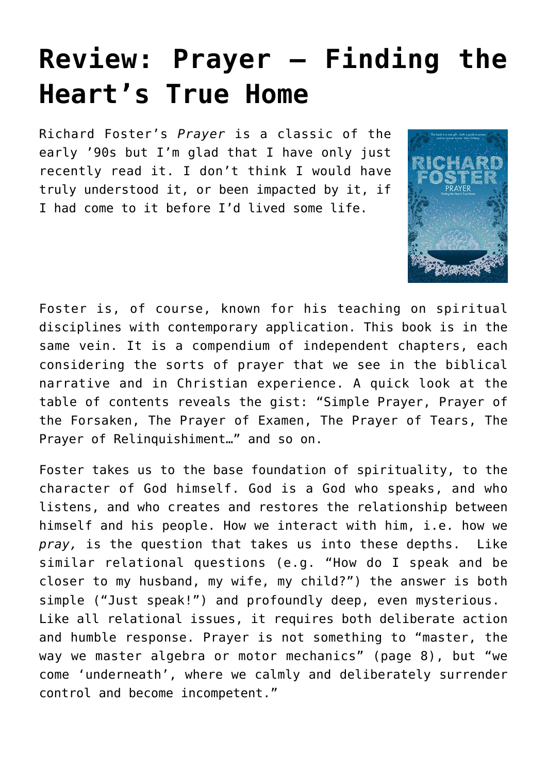## **[Review: Prayer – Finding the](https://briggs.id.au/jour/2018/01/prayer-finding-hearts-true-home/) [Heart's True Home](https://briggs.id.au/jour/2018/01/prayer-finding-hearts-true-home/)**

Richard Foster's *Prayer* is a classic of the early '90s but I'm glad that I have only just recently read it. I don't think I would have truly understood it, or been impacted by it, if I had come to it before I'd lived some life.



Foster is, of course, [known](http://briggs.id.au/jour/2008/06/money-sex-power-review/) for his teaching on spiritual disciplines with contemporary application. This book is in the same vein. It is a compendium of independent chapters, each considering the sorts of prayer that we see in the biblical narrative and in Christian experience. A quick look at the table of contents reveals the gist: "Simple Prayer, Prayer of the Forsaken, The Prayer of Examen, The Prayer of Tears, The Prayer of Relinquishiment…" and so on.

Foster takes us to the base foundation of spirituality, to the character of God himself. God is a God who speaks, and who listens, and who creates and restores the relationship between himself and his people. How we interact with him, i.e. how we *pray,* is the question that takes us into these depths. Like similar relational questions (e.g. "How do I speak and be closer to my husband, my wife, my child?") the answer is both simple ("Just speak!") and profoundly deep, even mysterious. Like all relational issues, it requires both deliberate action and humble response. Prayer is not something to "master, the way we master algebra or motor mechanics" (page 8), but "we come 'underneath', where we calmly and deliberately surrender control and become incompetent."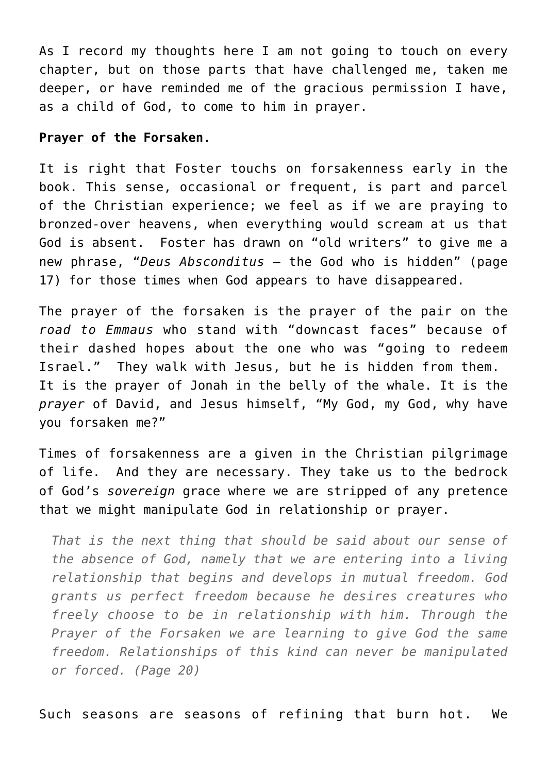As I record my thoughts here I am not going to touch on every chapter, but on those parts that have challenged me, taken me deeper, or have reminded me of the gracious permission I have, as a child of God, to come to him in prayer.

## **Prayer of the Forsaken**.

It is right that Foster touchs on forsakenness early in the book. This sense, occasional or frequent, is part and parcel of the Christian experience; we feel as if we are praying to bronzed-over heavens, when everything would scream at us that God is absent. Foster has drawn on "old writers" to give me a new phrase, "*Deus Absconditus* – the God who is hidden" (page 17) for those times when God appears to have disappeared.

The prayer of the forsaken is the prayer of the pair on the *road to Emmaus* who stand with "downcast faces" because of their dashed hopes about the one who was "going to redeem Israel." They walk with Jesus, but he is hidden from them. It is the prayer of [Jonah](http://briggs.id.au/jour/2017/07/land-finding-god-difficult-transitions/) in the belly of the whale. It is the *prayer* of David, and Jesus himself, "My God, my God, why have you forsaken me?"

Times of forsakenness are a given in the Christian pilgrimage of life. And they are necessary. They take us to the bedrock of God's *sovereign* grace where we are stripped of any pretence that we might manipulate God in relationship or prayer.

*That is the next thing that should be said about our sense of the absence of God, namely that we are entering into a living relationship that begins and develops in mutual freedom. God grants us perfect freedom because he desires creatures who freely choose to be in relationship with him. Through the Prayer of the Forsaken we are learning to give God the same freedom. Relationships of this kind can never be manipulated or forced. (Page 20)*

Such seasons are seasons of refining that burn hot. We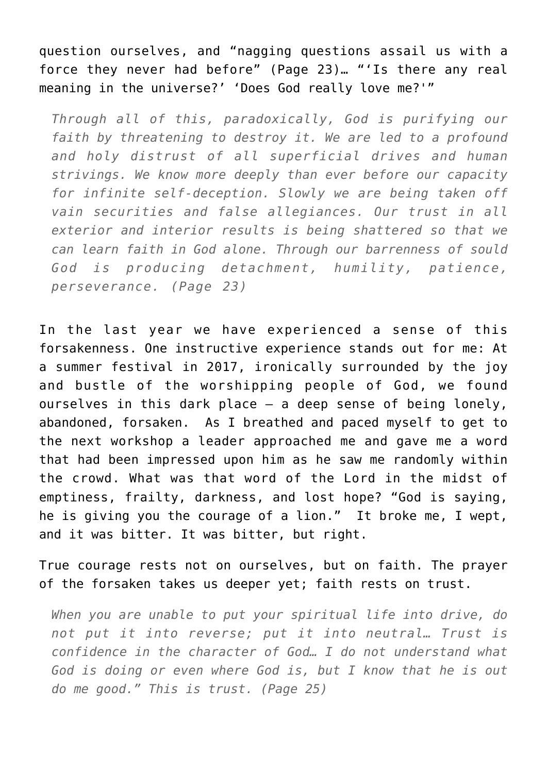question ourselves, and "nagging questions assail us with a force they never had before" (Page 23)… "'Is there any real meaning in the universe?' 'Does God really love me?'"

*Through all of this, paradoxically, God is purifying our faith by threatening to destroy it. We are led to a profound and holy distrust of all superficial drives and human strivings. We know more deeply than ever before our capacity for infinite self-deception. Slowly we are being taken off vain securities and false allegiances. Our trust in all exterior and interior results is being shattered so that we can learn faith in God alone. Through our barrenness of sould God is producing detachment, humility, patience, perseverance. (Page 23)*

In the last year we have experienced a sense of this forsakenness. One instructive experience stands out for me: At a summer festival in 2017, ironically surrounded by the joy and bustle of the worshipping people of God, we found ourselves in this dark place – a deep sense of being lonely, abandoned, forsaken. As I breathed and paced myself to get to the next workshop a leader approached me and gave me a word that had been impressed upon him as he saw me randomly within the crowd. What was that word of the Lord in the midst of emptiness, frailty, darkness, and lost hope? "God is saying, he is giving you the courage of a lion." It broke me, I wept, and it was bitter. It was bitter, but right.

True courage rests not on ourselves, but on faith. The prayer of the forsaken takes us deeper yet; faith rests on trust.

*When you are unable to put your spiritual life into drive, do not put it into reverse; put it into neutral… Trust is confidence in the character of God… I do not understand what God is doing or even where God is, but I know that he is out do me good." This is trust. (Page 25)*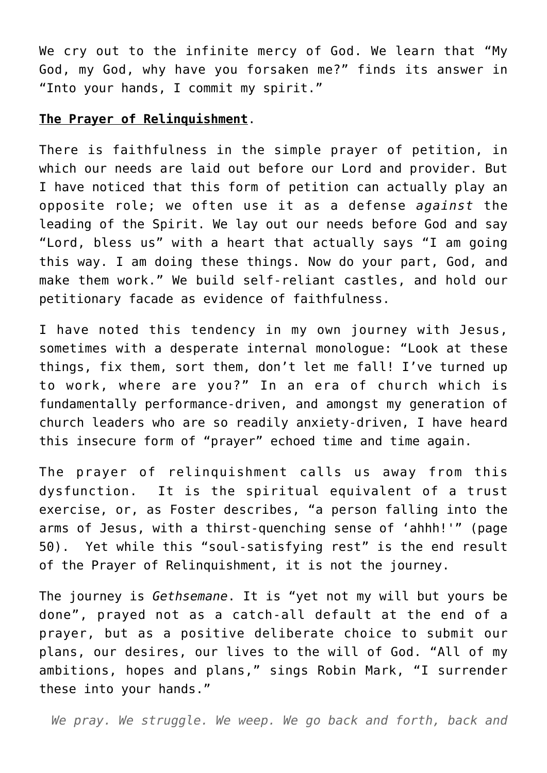We cry out to the infinite mercy of God. We learn that "My God, my God, why have you forsaken me?" finds its answer in "Into your hands, I commit my spirit."

## **The Prayer of Relinquishment**.

There is faithfulness in the simple prayer of petition, in which our needs are laid out before our Lord and provider. But I have noticed that this form of petition can actually play an opposite role; we often use it as a defense *against* the leading of the Spirit. We lay out our needs before God and say "Lord, bless us" with a heart that actually says "I am going this way. I am doing these things. Now do your part, God, and make them work." We build self-reliant castles, and hold our petitionary facade as evidence of faithfulness.

I have noted this tendency in my own journey with Jesus, sometimes with a desperate internal monologue: "Look at these things, fix them, sort them, don't let me fall! I've turned up to work, where are you?" In an era of church which is fundamentally performance-driven, and amongst my generation of church leaders who are so readily anxiety-driven, I have heard this insecure form of "prayer" echoed time and time again.

The prayer of relinquishment calls us away from this dysfunction. It is the spiritual equivalent of a trust exercise, or, as Foster describes, "a person falling into the arms of Jesus, with a thirst-quenching sense of 'ahhh!'" (page 50). Yet while this "soul-satisfying rest" is the end result of the Prayer of Relinquishment, it is not the journey.

The journey is *Gethsemane*. It is "yet not my will but yours be done", prayed not as a catch-all default at the end of a prayer, but as a positive deliberate choice to submit our plans, our desires, our lives to the will of God. "All of my ambitions, hopes and plans," sings Robin Mark, "I surrender these into your hands."

*We pray. We struggle. We weep. We go back and forth, back and*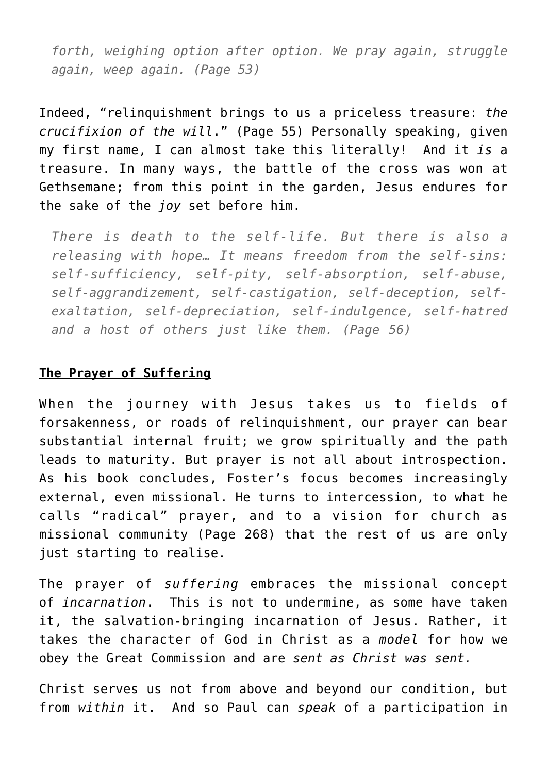*forth, weighing option after option. We pray again, struggle again, weep again. (Page 53)*

Indeed, "relinquishment brings to us a priceless treasure: *the crucifixion of the will*." (Page 55) Personally speaking, given my first name, I can almost take this literally! And it *is* a treasure. In many ways, the battle of the cross was won at Gethsemane; from this point in the garden, Jesus endures for the sake of the *joy* set before him.

*There is death to the self-life. But there is also a releasing with hope… It means freedom from the self-sins: self-sufficiency, self-pity, self-absorption, self-abuse, self-aggrandizement, self-castigation, self-deception, selfexaltation, self-depreciation, self-indulgence, self-hatred and a host of others just like them. (Page 56)*

## **The Prayer of Suffering**

When the journey with Jesus takes us to fields of forsakenness, or roads of relinquishment, our prayer can bear substantial internal fruit; we grow spiritually and the path leads to maturity. But prayer is not all about introspection. As his book concludes, Foster's focus becomes increasingly external, even missional. He turns to intercession, to what he calls "radical" prayer, and to a vision for church as missional community (Page 268) that the rest of us are only just starting to realise.

The prayer of *suffering* embraces the missional concept of *incarnation*. This is not to undermine, as some have taken it, the salvation-bringing incarnation of Jesus. Rather, it takes the character of God in Christ as a *model* for how we obey the Great Commission and are *sent as Christ was sent.*

Christ serves us not from above and beyond our condition, but from *within* it. And so Paul can *speak* of a participation in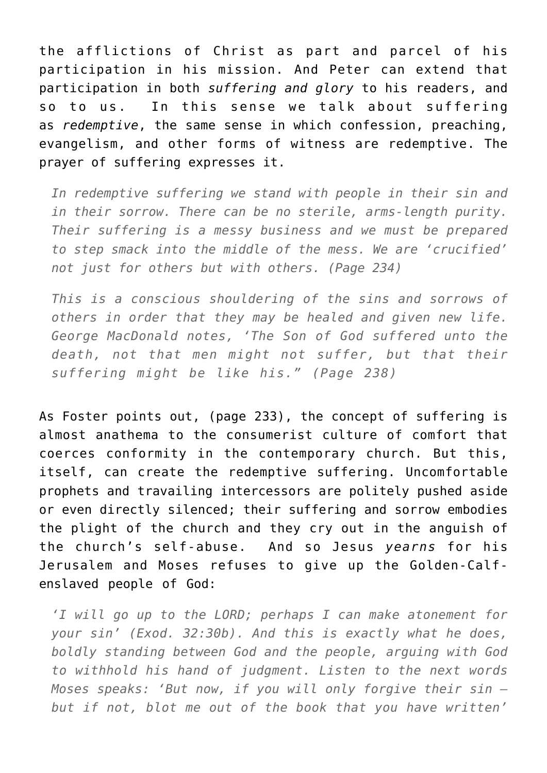the afflictions of Christ as part and parcel of his participation in his mission. And Peter can extend that participation in both *suffering and glory* to his readers, and so to us. In this sense we talk about suffering as *redemptive*, the same sense in which confession, preaching, evangelism, and other forms of witness are redemptive. The prayer of suffering expresses it.

*In redemptive suffering we stand with people in their sin and in their sorrow. There can be no sterile, arms-length purity. Their suffering is a messy business and we must be prepared to step smack into the middle of the mess. We are 'crucified' not just for others but with others. (Page 234)*

*This is a conscious shouldering of the sins and sorrows of others in order that they may be healed and given new life. George MacDonald notes, 'The Son of God suffered unto the death, not that men might not suffer, but that their suffering might be like his." (Page 238)*

As Foster points out, (page 233), the concept of suffering is almost anathema to the consumerist culture of comfort that coerces conformity in the contemporary church. But this, itself, can create the redemptive suffering. Uncomfortable prophets and travailing intercessors are politely pushed aside or even directly silenced; their suffering and sorrow embodies the plight of the church and they cry out in the anguish of the church's self-abuse. And so Jesus *yearns* for his Jerusalem and Moses refuses to give up the Golden-Calfenslaved people of God:

*'I will go up to the LORD; perhaps I can make atonement for your sin' (Exod. 32:30b). And this is exactly what he does, boldly standing between God and the people, arguing with God to withhold his hand of judgment. Listen to the next words Moses speaks: 'But now, if you will only forgive their sin – but if not, blot me out of the book that you have written'*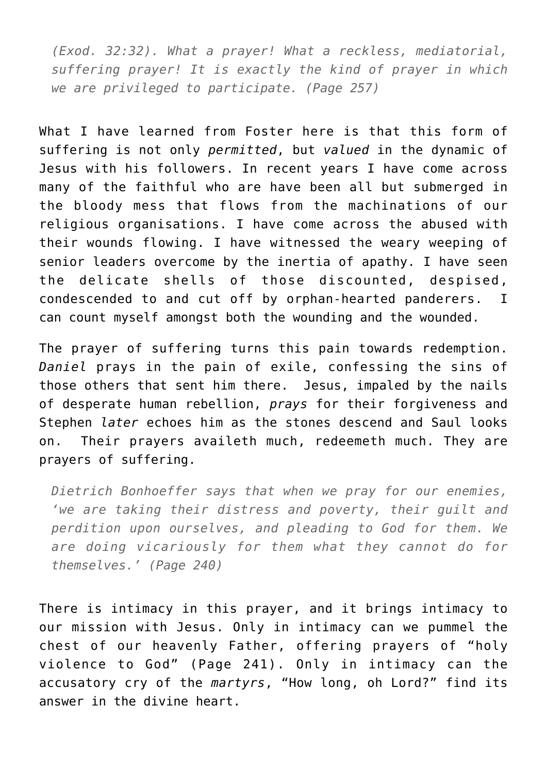*(Exod. 32:32). What a prayer! What a reckless, mediatorial, suffering prayer! It is exactly the kind of prayer in which we are privileged to participate. (Page 257)*

What I have learned from Foster here is that this form of suffering is not only *permitted*, but *valued* in the dynamic of Jesus with his followers. In recent years I have come across many of the faithful who are have been all but submerged in the bloody mess that flows from the machinations of our religious organisations. I have come across the abused with their wounds flowing. I have witnessed the weary weeping of senior leaders overcome by the inertia of apathy. I have seen the delicate shells of those discounted, despised, condescended to and cut off by orphan-hearted panderers. I can count myself amongst both the wounding and the wounded.

The prayer of suffering turns this pain towards redemption. *Daniel* prays in the pain of exile, confessing the sins of those others that sent him there. Jesus, impaled by the nails of desperate human rebellion, *prays* for their forgiveness and Stephen *later* echoes him as the stones descend and Saul looks on. Their prayers availeth much, redeemeth much. They are prayers of suffering.

*Dietrich Bonhoeffer says that when we pray for our enemies, 'we are taking their distress and poverty, their guilt and perdition upon ourselves, and pleading to God for them. We are doing vicariously for them what they cannot do for themselves.' (Page 240)*

There is intimacy in this prayer, and it brings intimacy to our mission with Jesus. Only in intimacy can we pummel the chest of our heavenly Father, offering prayers of "holy violence to God" (Page 241). Only in intimacy can the accusatory cry of the *martyrs*, "How long, oh Lord?" find its answer in the divine heart.